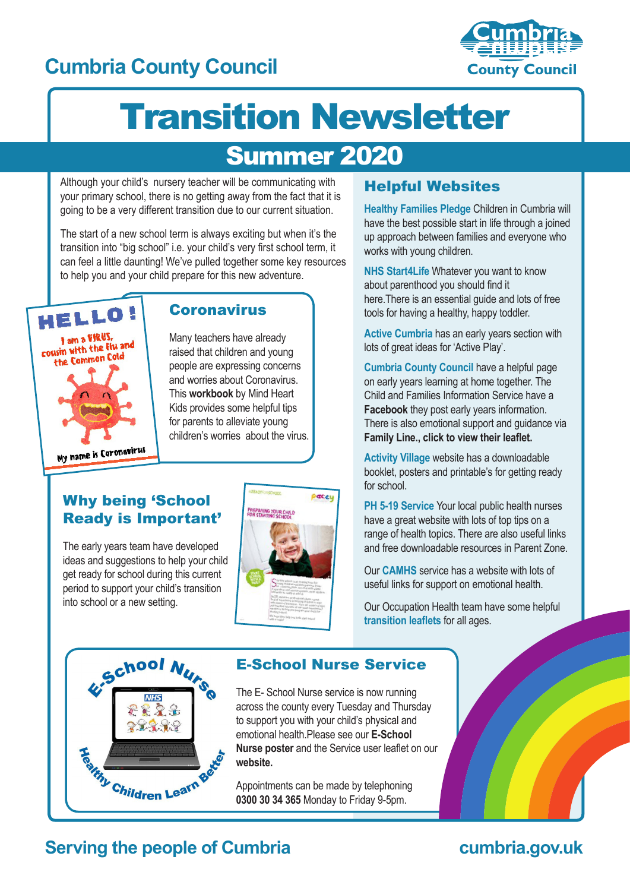# **Cumbria County Council**



# Transition Newsletter

# Summer 2020

Although your child's nursery teacher will be communicating with your primary school, there is no getting away from the fact that it is going to be a very different transition due to our current situation.

The start of a new school term is always exciting but when it's the transition into "big school" i.e. your child's very first school term, it can feel a little daunting! We've pulled together some key resources to help you and your child prepare for this new adventure.



#### **Coronavirus**

Many teachers have already raised that children and young people are expressing concerns and worries about Coronavirus. This **[workbook](https://660919d3-b85b-43c3-a3ad-3de6a9d37099.filesusr.com/ugd/64c685_0a595408de2e4bfcbf1539dcf6ba4b89.pdf)** by Mind Heart Kids provides some helpful tips for parents to alleviate young children's worries about the virus.

Why being 'School Ready is Important'

The early years team have developed ideas and suggestions to help your child get ready for school during this current period to support your child's transition into school or a new setting.



#### Helpful Websites

**[Healthy Families Pledge](https://www.cumbria.gov.uk/publichealth/healthyfamiliescumbriapledge.asp)** Children in Cumbria will have the best possible start in life through a joined up approach between families and everyone who works with young children.

**[NHS Start4Life](https://www.nhs.uk/start4life/toddler/)** Whatever you want to know about parenthood you should find it here.There is an essential guide and lots of free tools for having a healthy, happy toddler.

**[Active Cumbria](https://www.activecumbria.org/behealthybeactive/learn-play/)** has an early years section with lots of great ideas for 'Active Play'.

**[Cumbria County Council](https://www.cumbria.gov.uk/childrensservices/childrenandfamilies/cfis/homelearning/homelearningandtimetogetherhomepage/homelearningandtimetogetherhomepage.asp)** have a helpful page on early years learning at home together. The Child and Families Information Service have a **[Facebook](https://www.facebook.com/ChildrenandFamiliesInformationService?ref=hl)** they post early years information. There is also emotional support and guidance via **Fa[mily Line., click to view their leaflet.](https://www.cumbria.gov.uk/eLibrary/Content/Internet/537/17241/17249/4394912039.pdf)**

**[Activity Village](https://www.activityvillage.co.uk/school-readiness)** website has a downloadable booklet, posters and printable's for getting ready for school.

**[PH 5-19 Service](https://www.activityvillage.co.uk/school-readiness)** Your local public health nurses have a great website with lots of top tips on a range of health topics. There are also useful links and free downloadable resources in Parent Zone.

Our **[CAMHS](https://www.camhs-resources.co.uk/)** service has a website with lots of useful links for support on emotional health.

Our Occupation Health team have some helpful **[transition leaflets](https://www.ncic.nhs.uk/services/childrens-therapy-toolkit)** for all ages.



#### E-School Nurse Service

The E- School Nurse service is now running across the county every Tuesday and Thursday to support you with your child's physical and [emotional health.Please see our](https://www.cumbria.gov.uk/eLibrary/Content/Internet/537/17241/4365715322.pdf) **E-School Nurse poster** and the Service user leaflet on our **[website.](http://www.cumbria.gov.uk/ph5to19)** 

Appointments can be made by telephoning **0300 30 34 365** Monday to Friday 9-5pm.

#### **Serving the people of Cumbria cumbria.gov.uk**